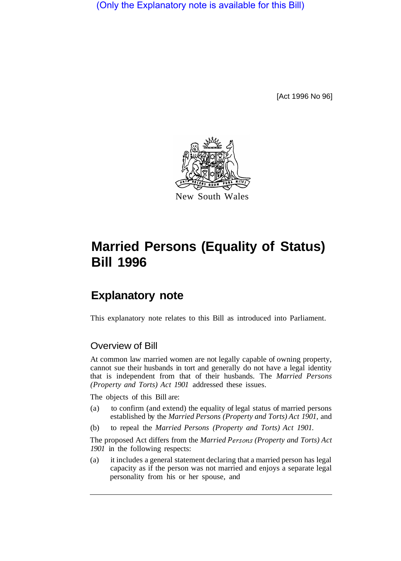(Only the Explanatory note is available for this Bill)

[Act 1996 No 96]



# **Married Persons (Equality of Status) Bill 1996**

# **Explanatory note**

This explanatory note relates to this Bill as introduced into Parliament.

## Overview of Bill

At common law married women are not legally capable of owning property, cannot sue their husbands in tort and generally do not have a legal identity that is independent from that of their husbands. The *Married Persons (Property and Torts) Act 1901* addressed these issues.

The objects of this Bill are:

- (a) to confirm (and extend) the equality of legal status of married persons established by the *Married Persons (Property and Torts) Act 1901,* and
- (b) to repeal the *Married Persons (Property and Torts) Act 1901.*

The proposed Act differs from the *Married Persons (Property and Torts) Act 1901* in the following respects:

(a) it includes a general statement declaring that a married person has legal capacity as if the person was not married and enjoys a separate legal personality from his or her spouse, and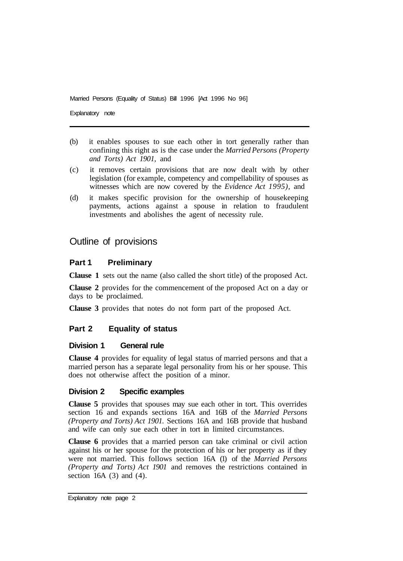Married Persons (Equality of Status) Bill 1996 [Act 1996 No 96]

Explanatory note

- (b) it enables spouses to sue each other in tort generally rather than confining this right as is the case under the *Married Persons (Property and Torts) Act 1901,* and
- (c) it removes certain provisions that are now dealt with by other legislation (for example, competency and compellability of spouses as witnesses which are now covered by the *Evidence Act 1995),* and
- (d) it makes specific provision for the ownership of housekeeping payments, actions against a spouse in relation to fraudulent investments and abolishes the agent of necessity rule.

## Outline of provisions

#### **Part 1 Preliminary**

**Clause 1** sets out the name (also called the short title) of the proposed Act.

**Clause 2** provides for the commencement of the proposed Act on a day or days to be proclaimed.

**Clause 3** provides that notes do not form part of the proposed Act.

#### **Part 2 Equality of status**

#### **Division 1 General rule**

**Clause 4** provides for equality of legal status of married persons and that a married person has a separate legal personality from his or her spouse. This does not otherwise affect the position of a minor.

#### **Division 2 Specific examples**

**Clause 5** provides that spouses may sue each other in tort. This overrides section 16 and expands sections 16A and 16B of the *Married Persons (Property and Torts) Act 1901.* Sections 16A and 16B provide that husband and wife can only sue each other in tort in limited circumstances.

**Clause 6** provides that a married person can take criminal or civil action against his or her spouse for the protection of his or her property as if they were not married. This follows section 16A (1) of the *Married Persons (Property and Torts) Act 1901* and removes the restrictions contained in section 16A  $(3)$  and  $(4)$ .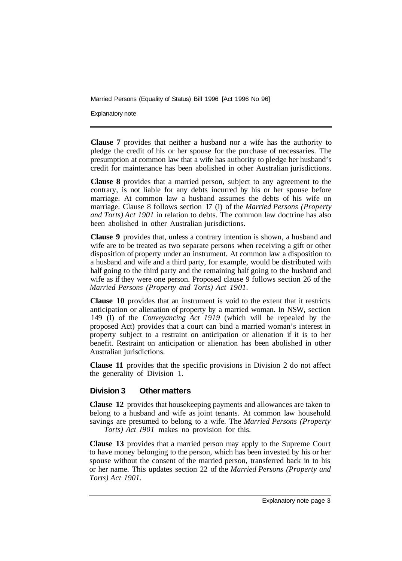Married Persons (Equality of Status) Bill 1996 [Act 1996 No 96]

Explanatory note

**Clause 7** provides that neither a husband nor a wife has the authority to pledge the credit of his or her spouse for the purchase of necessaries. The presumption at common law that a wife has authority to pledge her husband's credit for maintenance has been abolished in other Australian jurisdictions.

**Clause 8** provides that a married person, subject to any agreement to the contrary, is not liable for any debts incurred by his or her spouse before marriage. At common law a husband assumes the debts of his wife on marriage. Clause 8 follows section 17 (1) of the *Married Persons (Property and Torts) Act 1901* in relation to debts. The common law doctrine has also been abolished in other Australian jurisdictions.

**Clause 9** provides that, unless a contrary intention is shown, a husband and wife are to be treated as two separate persons when receiving a gift or other disposition of property under an instrument. At common law a disposition to a husband and wife and a third party, for example, would be distributed with half going to the third party and the remaining half going to the husband and wife as if they were one person. Proposed clause 9 follows section 26 of the *Married Persons (Property and Torts) Act 1901.* 

**Clause 10** provides that an instrument is void to the extent that it restricts anticipation or alienation of property by a married woman. In NSW, section 149 (1) of the *Conveyancing Act 1919* (which will be repealed by the proposed Act) provides that a court can bind a married woman's interest in property subject to a restraint on anticipation or alienation if it is to her benefit. Restraint on anticipation or alienation has been abolished in other Australian jurisdictions.

**Clause 11** provides that the specific provisions in Division 2 do not affect the generality of Division 1.

#### **Division 3 Other matters**

**Clause 12** provides that housekeeping payments and allowances are taken to belong to a husband and wife as joint tenants. At common law household savings are presumed to belong to a wife. The *Married Persons (Property Torts) Act 1901* makes no provision for this.

**Clause 13** provides that a married person may apply to the Supreme Court to have money belonging to the person, which has been invested by his or her spouse without the consent of the married person, transferred back in to his or her name. This updates section 22 of the *Married Persons (Property and Torts) Act 1901.*